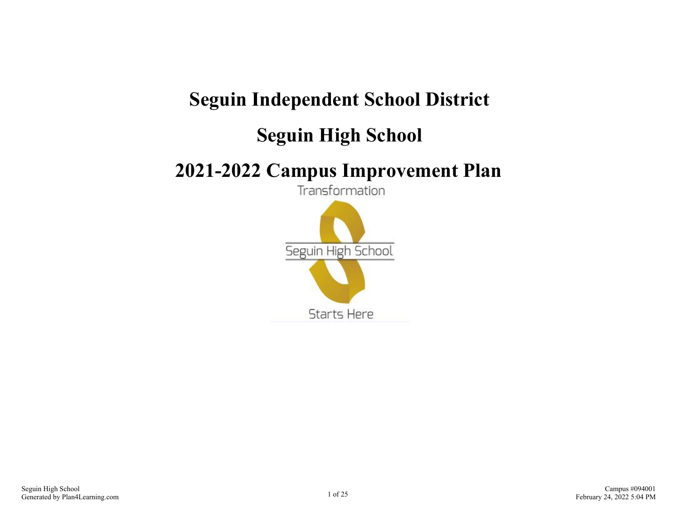## **Seguin Independent School District**

### **Seguin High School**

## **2021-2022 Campus Improvement Plan**

Transformation

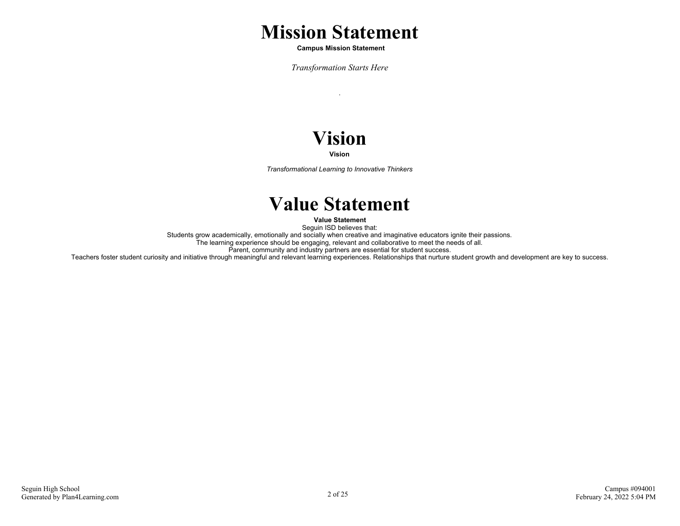### **Mission Statement**

 **Campus Mission Statement**

*Transformation Starts Here*

.

# **Vision**

**Vision**

*Transformational Learning to Innovative Thinkers*

### **Value Statement**

**Value Statement**

Seguin ISD believes that: Students grow academically, emotionally and socially when creative and imaginative educators ignite their passions.

The learning experience should be engaging, relevant and collaborative to meet the needs of all.

Parent, community and industry partners are essential for student success.

Teachers foster student curiosity and initiative through meaningful and relevant learning experiences. Relationships that nurture student growth and development are key to success.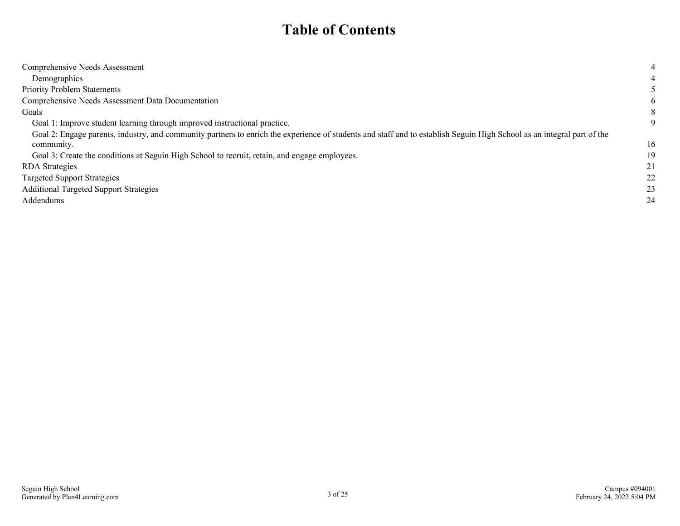### **Table of Contents**

| Comprehensive Needs Assessment                                                                                                                                         | 4  |
|------------------------------------------------------------------------------------------------------------------------------------------------------------------------|----|
| Demographics                                                                                                                                                           |    |
| <b>Priority Problem Statements</b>                                                                                                                                     |    |
| Comprehensive Needs Assessment Data Documentation                                                                                                                      | 6  |
| Goals                                                                                                                                                                  | 8  |
| Goal 1: Improve student learning through improved instructional practice.                                                                                              | 9  |
| Goal 2: Engage parents, industry, and community partners to enrich the experience of students and staff and to establish Seguin High School as an integral part of the |    |
| community.                                                                                                                                                             | 16 |
| Goal 3: Create the conditions at Seguin High School to recruit, retain, and engage employees.                                                                          | 19 |
| <b>RDA</b> Strategies                                                                                                                                                  | 21 |
| <b>Targeted Support Strategies</b>                                                                                                                                     | 22 |
| <b>Additional Targeted Support Strategies</b>                                                                                                                          | 23 |
| Addendums                                                                                                                                                              | 24 |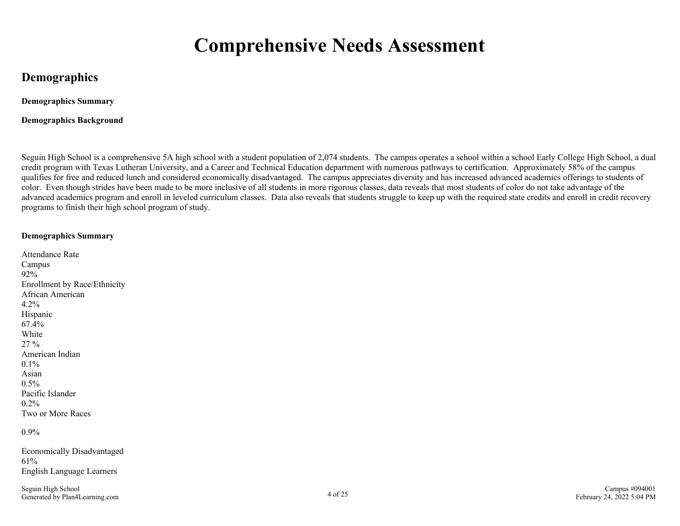## **Comprehensive Needs Assessment**

### <span id="page-3-0"></span>**Demographics**

**Demographics Summary**

**Demographics Background**

Seguin High School is a comprehensive 5A high school with a student population of 2,074 students. The campus operates a school within a school Early College High School, a dual credit program with Texas Lutheran University, and a Career and Technical Education department with numerous pathways to certification. Approximately 58% of the campus qualifies for free and reduced lunch and considered economically disadvantaged. The campus appreciates diversity and has increased advanced academics offerings to students of color. Even though strides have been made to be more inclusive of all students in more rigorous classes, data reveals that most students of color do not take advantage of the advanced academics program and enroll in leveled curriculum classes. Data also reveals that students struggle to keep up with the required state credits and enroll in credit recovery programs to finish their high school program of study.

#### **Demographics Summary**

| Attendance Rate                     |
|-------------------------------------|
| Campus                              |
| 92%                                 |
| <b>Enrollment by Race/Ethnicity</b> |
| African American                    |
| $4.2\%$                             |
| Hispanic                            |
| 67.4%                               |
| White                               |
| 27 %                                |
| American Indian                     |
| $0.1\%$                             |
| Asian                               |
| $0.5\%$                             |
| Pacific Islander                    |
| 0.2%                                |
| Two or More Races                   |
|                                     |

0.9%

Economically Disadvantaged 61% English Language Learners

Seguin High School Generated by Plan4Learning.com 4 of 25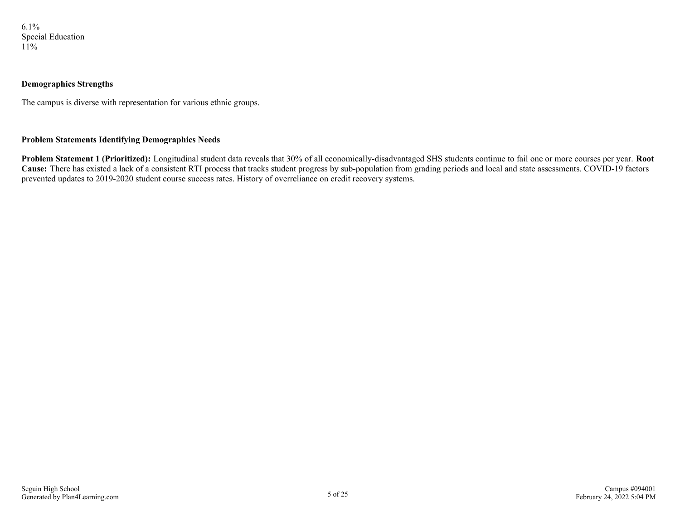6.1% Special Education 11%

#### **Demographics Strengths**

The campus is diverse with representation for various ethnic groups.

#### **Problem Statements Identifying Demographics Needs**

**Problem Statement 1 (Prioritized):** Longitudinal student data reveals that 30% of all economically-disadvantaged SHS students continue to fail one or more courses per year. **Root** Cause: There has existed a lack of a consistent RTI process that tracks student progress by sub-population from grading periods and local and state assessments. COVID-19 factors prevented updates to 2019-2020 student course success rates. History of overreliance on credit recovery systems.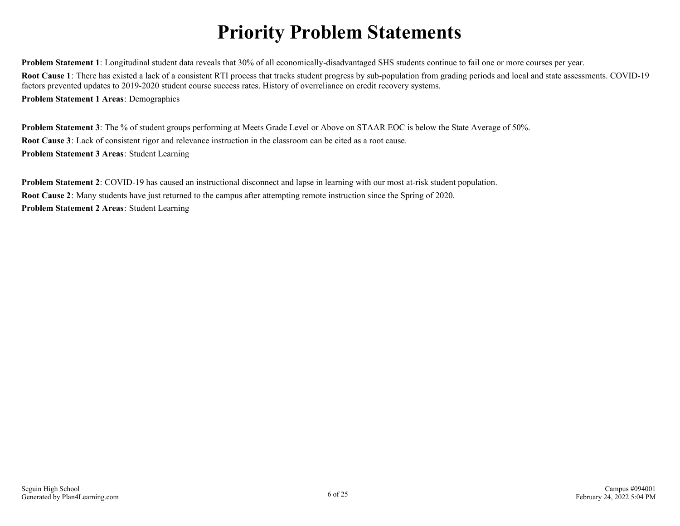## **Priority Problem Statements**

<span id="page-5-0"></span>**Problem Statement 1**: Longitudinal student data reveals that 30% of all economically-disadvantaged SHS students continue to fail one or more courses per year. **Root Cause 1**: There has existed a lack of a consistent RTI process that tracks student progress by sub-population from grading periods and local and state assessments. COVID-19 factors prevented updates to 2019-2020 student course success rates. History of overreliance on credit recovery systems. **Problem Statement 1 Areas**: Demographics

**Problem Statement 3**: The % of student groups performing at Meets Grade Level or Above on STAAR EOC is below the State Average of 50%. **Root Cause 3**: Lack of consistent rigor and relevance instruction in the classroom can be cited as a root cause. **Problem Statement 3 Areas**: Student Learning

**Problem Statement 2**: COVID-19 has caused an instructional disconnect and lapse in learning with our most at-risk student population. **Root Cause 2**: Many students have just returned to the campus after attempting remote instruction since the Spring of 2020. **Problem Statement 2 Areas**: Student Learning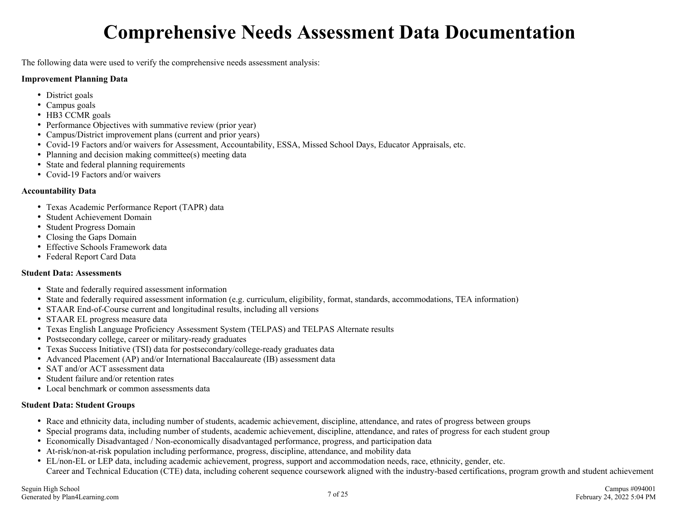## **Comprehensive Needs Assessment Data Documentation**

<span id="page-6-0"></span>The following data were used to verify the comprehensive needs assessment analysis:

#### **Improvement Planning Data**

- District goals
- Campus goals
- HB3 CCMR goals
- Performance Objectives with summative review (prior year)
- Campus/District improvement plans (current and prior years)
- Covid-19 Factors and/or waivers for Assessment, Accountability, ESSA, Missed School Days, Educator Appraisals, etc.
- Planning and decision making committee(s) meeting data
- State and federal planning requirements
- Covid-19 Factors and/or waivers

#### **Accountability Data**

- Texas Academic Performance Report (TAPR) data
- Student Achievement Domain
- Student Progress Domain
- Closing the Gaps Domain
- Effective Schools Framework data
- Federal Report Card Data

#### **Student Data: Assessments**

- State and federally required assessment information
- State and federally required assessment information (e.g. curriculum, eligibility, format, standards, accommodations, TEA information)
- STAAR End-of-Course current and longitudinal results, including all versions
- STAAR EL progress measure data
- Texas English Language Proficiency Assessment System (TELPAS) and TELPAS Alternate results
- Postsecondary college, career or military-ready graduates
- Texas Success Initiative (TSI) data for postsecondary/college-ready graduates data
- Advanced Placement (AP) and/or International Baccalaureate (IB) assessment data
- SAT and/or ACT assessment data
- Student failure and/or retention rates
- Local benchmark or common assessments data

#### **Student Data: Student Groups**

- Race and ethnicity data, including number of students, academic achievement, discipline, attendance, and rates of progress between groups
- Special programs data, including number of students, academic achievement, discipline, attendance, and rates of progress for each student group
- Economically Disadvantaged / Non-economically disadvantaged performance, progress, and participation data
- At-risk/non-at-risk population including performance, progress, discipline, attendance, and mobility data
- EL/non-EL or LEP data, including academic achievement, progress, support and accommodation needs, race, ethnicity, gender, etc. Career and Technical Education (CTE) data, including coherent sequence coursework aligned with the industry-based certifications, program growth and student achievement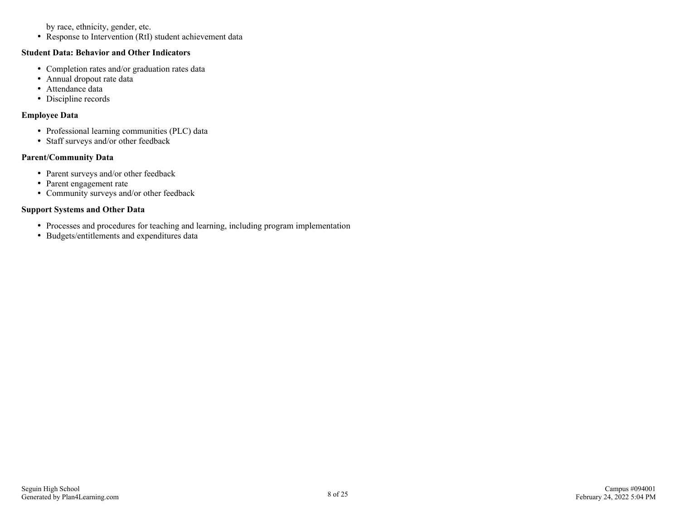by race, ethnicity, gender, etc.

• Response to Intervention (RtI) student achievement data

#### **Student Data: Behavior and Other Indicators**

- Completion rates and/or graduation rates data
- Annual dropout rate data
- Attendance data
- Discipline records

#### **Employee Data**

- Professional learning communities (PLC) data
- Staff surveys and/or other feedback

#### **Parent/Community Data**

- Parent surveys and/or other feedback
- Parent engagement rate
- Community surveys and/or other feedback

#### **Support Systems and Other Data**

- Processes and procedures for teaching and learning, including program implementation
- Budgets/entitlements and expenditures data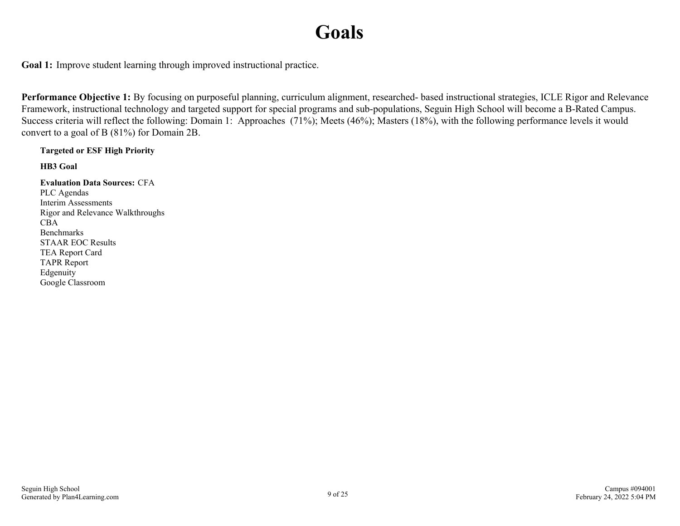## **Goals**

<span id="page-8-0"></span>**Goal 1:** Improve student learning through improved instructional practice.

**Performance Objective 1:** By focusing on purposeful planning, curriculum alignment, researched- based instructional strategies, ICLE Rigor and Relevance Framework, instructional technology and targeted support for special programs and sub-populations, Seguin High School will become a B-Rated Campus. Success criteria will reflect the following: Domain 1: Approaches (71%); Meets (46%); Masters (18%), with the following performance levels it would convert to a goal of B (81%) for Domain 2B.

**Targeted or ESF High Priority**

**HB3 Goal**

**Evaluation Data Sources:** CFA PLC Agendas Interim Assessments Rigor and Relevance Walkthroughs CBA Benchmarks STAAR EOC Results TEA Report Card TAPR Report Edgenuity Google Classroom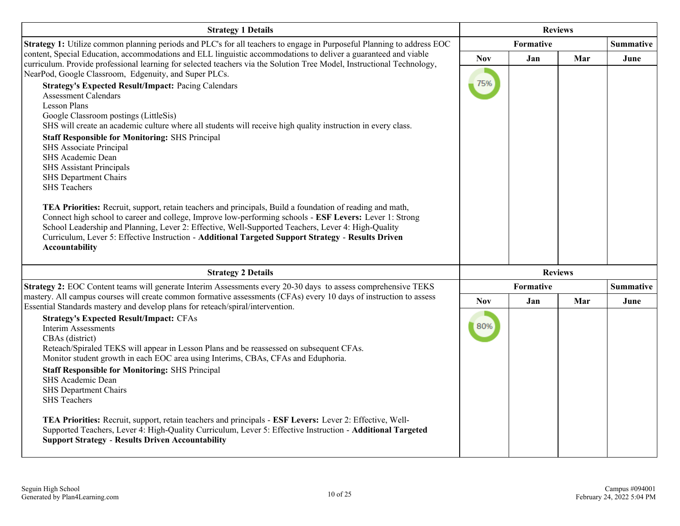| <b>Strategy 1 Details</b>                                                                                                                                                                                                                 | <b>Reviews</b> |                |     |                  |
|-------------------------------------------------------------------------------------------------------------------------------------------------------------------------------------------------------------------------------------------|----------------|----------------|-----|------------------|
| Strategy 1: Utilize common planning periods and PLC's for all teachers to engage in Purposeful Planning to address EOC                                                                                                                    |                | Formative      |     | <b>Summative</b> |
| content, Special Education, accommodations and ELL linguistic accommodations to deliver a guaranteed and viable<br>curriculum. Provide professional learning for selected teachers via the Solution Tree Model, Instructional Technology, | <b>Nov</b>     | Jan            | Mar | June             |
| NearPod, Google Classroom, Edgenuity, and Super PLCs.                                                                                                                                                                                     |                |                |     |                  |
| <b>Strategy's Expected Result/Impact: Pacing Calendars</b>                                                                                                                                                                                | 75%            |                |     |                  |
| <b>Assessment Calendars</b><br><b>Lesson Plans</b>                                                                                                                                                                                        |                |                |     |                  |
| Google Classroom postings (LittleSis)                                                                                                                                                                                                     |                |                |     |                  |
| SHS will create an academic culture where all students will receive high quality instruction in every class.                                                                                                                              |                |                |     |                  |
| <b>Staff Responsible for Monitoring: SHS Principal</b>                                                                                                                                                                                    |                |                |     |                  |
| SHS Associate Principal<br>SHS Academic Dean                                                                                                                                                                                              |                |                |     |                  |
| <b>SHS Assistant Principals</b>                                                                                                                                                                                                           |                |                |     |                  |
| SHS Department Chairs                                                                                                                                                                                                                     |                |                |     |                  |
| <b>SHS</b> Teachers                                                                                                                                                                                                                       |                |                |     |                  |
| TEA Priorities: Recruit, support, retain teachers and principals, Build a foundation of reading and math,                                                                                                                                 |                |                |     |                  |
| Connect high school to career and college, Improve low-performing schools - ESF Levers: Lever 1: Strong                                                                                                                                   |                |                |     |                  |
| School Leadership and Planning, Lever 2: Effective, Well-Supported Teachers, Lever 4: High-Quality<br>Curriculum, Lever 5: Effective Instruction - Additional Targeted Support Strategy - Results Driven                                  |                |                |     |                  |
| Accountability                                                                                                                                                                                                                            |                |                |     |                  |
|                                                                                                                                                                                                                                           |                |                |     |                  |
| <b>Strategy 2 Details</b>                                                                                                                                                                                                                 |                | <b>Reviews</b> |     |                  |
| Strategy 2: EOC Content teams will generate Interim Assessments every 20-30 days to assess comprehensive TEKS                                                                                                                             |                | Formative      |     | <b>Summative</b> |
| mastery. All campus courses will create common formative assessments (CFAs) every 10 days of instruction to assess<br>Essential Standards mastery and develop plans for reteach/spiral/intervention.                                      | <b>Nov</b>     | Jan            | Mar | June             |
| <b>Strategy's Expected Result/Impact: CFAs</b>                                                                                                                                                                                            |                |                |     |                  |
| <b>Interim Assessments</b>                                                                                                                                                                                                                | 80%            |                |     |                  |
| CBAs (district)<br>Reteach/Spiraled TEKS will appear in Lesson Plans and be reassessed on subsequent CFAs.                                                                                                                                |                |                |     |                  |
| Monitor student growth in each EOC area using Interims, CBAs, CFAs and Eduphoria.                                                                                                                                                         |                |                |     |                  |
| <b>Staff Responsible for Monitoring: SHS Principal</b>                                                                                                                                                                                    |                |                |     |                  |
| SHS Academic Dean<br>SHS Department Chairs                                                                                                                                                                                                |                |                |     |                  |
| <b>SHS</b> Teachers                                                                                                                                                                                                                       |                |                |     |                  |
|                                                                                                                                                                                                                                           |                |                |     |                  |
| TEA Priorities: Recruit, support, retain teachers and principals - ESF Levers: Lever 2: Effective, Well-<br>Supported Teachers, Lever 4: High-Quality Curriculum, Lever 5: Effective Instruction - Additional Targeted                    |                |                |     |                  |
| <b>Support Strategy - Results Driven Accountability</b>                                                                                                                                                                                   |                |                |     |                  |
|                                                                                                                                                                                                                                           |                |                |     |                  |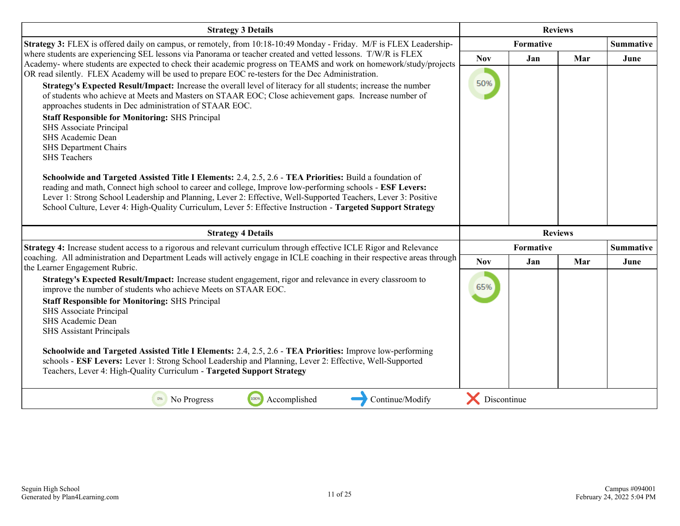| <b>Strategy 3 Details</b>                                                                                                                                                                                                                                                                                                                                                                                                                                                                                                                                                                                                                                                                                                                                                                                                                                                                                                                                                                                     | <b>Reviews</b> |                |     |                  |
|---------------------------------------------------------------------------------------------------------------------------------------------------------------------------------------------------------------------------------------------------------------------------------------------------------------------------------------------------------------------------------------------------------------------------------------------------------------------------------------------------------------------------------------------------------------------------------------------------------------------------------------------------------------------------------------------------------------------------------------------------------------------------------------------------------------------------------------------------------------------------------------------------------------------------------------------------------------------------------------------------------------|----------------|----------------|-----|------------------|
| Strategy 3: FLEX is offered daily on campus, or remotely, from 10:18-10:49 Monday - Friday. M/F is FLEX Leadership-                                                                                                                                                                                                                                                                                                                                                                                                                                                                                                                                                                                                                                                                                                                                                                                                                                                                                           |                | Formative      |     | <b>Summative</b> |
| where students are experiencing SEL lessons via Panorama or teacher created and vetted lessons. T/W/R is FLEX<br>Academy- where students are expected to check their academic progress on TEAMS and work on homework/study/projects                                                                                                                                                                                                                                                                                                                                                                                                                                                                                                                                                                                                                                                                                                                                                                           | <b>Nov</b>     | Jan            | Mar | June             |
| OR read silently. FLEX Academy will be used to prepare EOC re-testers for the Dec Administration.<br>Strategy's Expected Result/Impact: Increase the overall level of literacy for all students; increase the number<br>of students who achieve at Meets and Masters on STAAR EOC; Close achievement gaps. Increase number of<br>approaches students in Dec administration of STAAR EOC.<br><b>Staff Responsible for Monitoring: SHS Principal</b><br>SHS Associate Principal<br>SHS Academic Dean<br>SHS Department Chairs<br><b>SHS</b> Teachers<br>Schoolwide and Targeted Assisted Title I Elements: 2.4, 2.5, 2.6 - TEA Priorities: Build a foundation of<br>reading and math, Connect high school to career and college, Improve low-performing schools - ESF Levers:<br>Lever 1: Strong School Leadership and Planning, Lever 2: Effective, Well-Supported Teachers, Lever 3: Positive<br>School Culture, Lever 4: High-Quality Curriculum, Lever 5: Effective Instruction - Targeted Support Strategy | 50%            |                |     |                  |
| <b>Strategy 4 Details</b>                                                                                                                                                                                                                                                                                                                                                                                                                                                                                                                                                                                                                                                                                                                                                                                                                                                                                                                                                                                     |                | <b>Reviews</b> |     |                  |
| Strategy 4: Increase student access to a rigorous and relevant curriculum through effective ICLE Rigor and Relevance                                                                                                                                                                                                                                                                                                                                                                                                                                                                                                                                                                                                                                                                                                                                                                                                                                                                                          | Formative      |                |     | <b>Summative</b> |
| coaching. All administration and Department Leads will actively engage in ICLE coaching in their respective areas through<br>the Learner Engagement Rubric.                                                                                                                                                                                                                                                                                                                                                                                                                                                                                                                                                                                                                                                                                                                                                                                                                                                   | <b>Nov</b>     | Jan            | Mar | June             |
| Strategy's Expected Result/Impact: Increase student engagement, rigor and relevance in every classroom to<br>improve the number of students who achieve Meets on STAAR EOC.<br><b>Staff Responsible for Monitoring: SHS Principal</b><br>SHS Associate Principal<br>SHS Academic Dean<br><b>SHS Assistant Principals</b><br>Schoolwide and Targeted Assisted Title I Elements: 2.4, 2.5, 2.6 - TEA Priorities: Improve low-performing<br>schools - ESF Levers: Lever 1: Strong School Leadership and Planning, Lever 2: Effective, Well-Supported<br>Teachers, Lever 4: High-Quality Curriculum - Targeted Support Strategy                                                                                                                                                                                                                                                                                                                                                                                   | 65%            |                |     |                  |
| Accomplished<br>100%<br>Continue/Modify<br>0%<br>No Progress                                                                                                                                                                                                                                                                                                                                                                                                                                                                                                                                                                                                                                                                                                                                                                                                                                                                                                                                                  | Discontinue    |                |     |                  |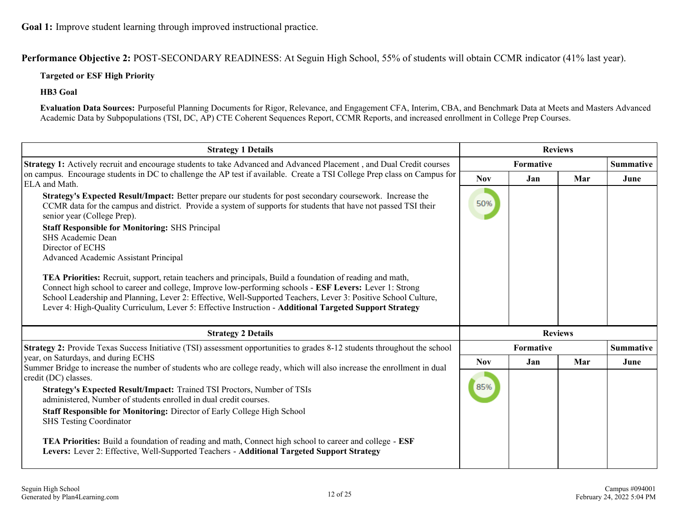**Performance Objective 2:** POST-SECONDARY READINESS: At Seguin High School, 55% of students will obtain CCMR indicator (41% last year).

#### **Targeted or ESF High Priority**

**HB3 Goal**

**Evaluation Data Sources:** Purposeful Planning Documents for Rigor, Relevance, and Engagement CFA, Interim, CBA, and Benchmark Data at Meets and Masters Advanced Academic Data by Subpopulations (TSI, DC, AP) CTE Coherent Sequences Report, CCMR Reports, and increased enrollment in College Prep Courses.

| <b>Strategy 1 Details</b>                                                                                                                                                                                                                                                                                                                                                                                                                         | <b>Reviews</b> |                  |                |                  |
|---------------------------------------------------------------------------------------------------------------------------------------------------------------------------------------------------------------------------------------------------------------------------------------------------------------------------------------------------------------------------------------------------------------------------------------------------|----------------|------------------|----------------|------------------|
| Strategy 1: Actively recruit and encourage students to take Advanced and Advanced Placement, and Dual Credit courses                                                                                                                                                                                                                                                                                                                              |                | <b>Formative</b> |                | <b>Summative</b> |
| on campus. Encourage students in DC to challenge the AP test if available. Create a TSI College Prep class on Campus for<br>ELA and Math.                                                                                                                                                                                                                                                                                                         | <b>Nov</b>     | Jan              | Mar            | June             |
| Strategy's Expected Result/Impact: Better prepare our students for post secondary coursework. Increase the<br>CCMR data for the campus and district. Provide a system of supports for students that have not passed TSI their<br>senior year (College Prep).                                                                                                                                                                                      | 50%            |                  |                |                  |
| <b>Staff Responsible for Monitoring: SHS Principal</b>                                                                                                                                                                                                                                                                                                                                                                                            |                |                  |                |                  |
| SHS Academic Dean<br>Director of ECHS                                                                                                                                                                                                                                                                                                                                                                                                             |                |                  |                |                  |
| Advanced Academic Assistant Principal                                                                                                                                                                                                                                                                                                                                                                                                             |                |                  |                |                  |
| TEA Priorities: Recruit, support, retain teachers and principals, Build a foundation of reading and math,<br>Connect high school to career and college, Improve low-performing schools - ESF Levers: Lever 1: Strong<br>School Leadership and Planning, Lever 2: Effective, Well-Supported Teachers, Lever 3: Positive School Culture,<br>Lever 4: High-Quality Curriculum, Lever 5: Effective Instruction - Additional Targeted Support Strategy |                |                  |                |                  |
| <b>Strategy 2 Details</b>                                                                                                                                                                                                                                                                                                                                                                                                                         |                |                  | <b>Reviews</b> |                  |
| <b>Strategy 2:</b> Provide Texas Success Initiative (TSI) assessment opportunities to grades 8-12 students throughout the school                                                                                                                                                                                                                                                                                                                  |                | Formative        |                | <b>Summative</b> |
| year, on Saturdays, and during ECHS<br>Summer Bridge to increase the number of students who are college ready, which will also increase the enrollment in dual                                                                                                                                                                                                                                                                                    | <b>Nov</b>     | Jan              | Mar            | June             |
| credit (DC) classes.<br>Strategy's Expected Result/Impact: Trained TSI Proctors, Number of TSIs<br>administered, Number of students enrolled in dual credit courses.<br>Staff Responsible for Monitoring: Director of Early College High School<br><b>SHS Testing Coordinator</b>                                                                                                                                                                 | 85%            |                  |                |                  |
| TEA Priorities: Build a foundation of reading and math, Connect high school to career and college - ESF<br>Levers: Lever 2: Effective, Well-Supported Teachers - Additional Targeted Support Strategy                                                                                                                                                                                                                                             |                |                  |                |                  |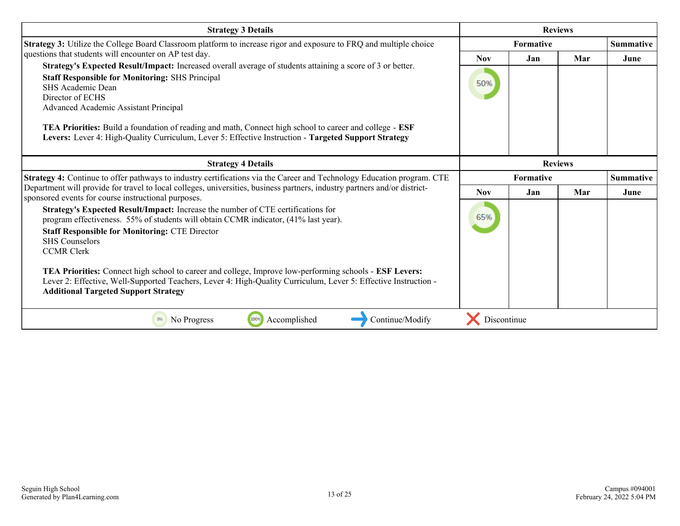| <b>Strategy 3 Details</b>                                                                                                                                                                                                                                                                                                                                                                                                                                                                                                                                                 | <b>Reviews</b>   |           |                |                  |
|---------------------------------------------------------------------------------------------------------------------------------------------------------------------------------------------------------------------------------------------------------------------------------------------------------------------------------------------------------------------------------------------------------------------------------------------------------------------------------------------------------------------------------------------------------------------------|------------------|-----------|----------------|------------------|
| Strategy 3: Utilize the College Board Classroom platform to increase rigor and exposure to FRQ and multiple choice                                                                                                                                                                                                                                                                                                                                                                                                                                                        | <b>Formative</b> |           |                | <b>Summative</b> |
| questions that students will encounter on AP test day.                                                                                                                                                                                                                                                                                                                                                                                                                                                                                                                    | <b>Nov</b>       | Jan       | Mar            | June             |
| Strategy's Expected Result/Impact: Increased overall average of students attaining a score of 3 or better.<br><b>Staff Responsible for Monitoring: SHS Principal</b><br>SHS Academic Dean<br>Director of ECHS<br>Advanced Academic Assistant Principal                                                                                                                                                                                                                                                                                                                    | 50%              |           |                |                  |
| <b>TEA Priorities:</b> Build a foundation of reading and math, Connect high school to career and college - <b>ESF</b><br>Levers: Lever 4: High-Quality Curriculum, Lever 5: Effective Instruction - Targeted Support Strategy                                                                                                                                                                                                                                                                                                                                             |                  |           |                |                  |
| <b>Strategy 4 Details</b>                                                                                                                                                                                                                                                                                                                                                                                                                                                                                                                                                 |                  |           | <b>Reviews</b> |                  |
| Strategy 4: Continue to offer pathways to industry certifications via the Career and Technology Education program. CTE                                                                                                                                                                                                                                                                                                                                                                                                                                                    |                  | Formative |                | <b>Summative</b> |
| Department will provide for travel to local colleges, universities, business partners, industry partners and/or district-<br>sponsored events for course instructional purposes.                                                                                                                                                                                                                                                                                                                                                                                          | Nov.             | Jan       | Mar            | June             |
| Strategy's Expected Result/Impact: Increase the number of CTE certifications for<br>program effectiveness. 55% of students will obtain CCMR indicator, (41% last year).<br><b>Staff Responsible for Monitoring: CTE Director</b><br><b>SHS</b> Counselors<br><b>CCMR Clerk</b><br><b>TEA Priorities:</b> Connect high school to career and college, Improve low-performing schools - <b>ESF Levers:</b><br>Lever 2: Effective, Well-Supported Teachers, Lever 4: High-Quality Curriculum, Lever 5: Effective Instruction -<br><b>Additional Targeted Support Strategy</b> | 65%              |           |                |                  |
| 100%<br>Accomplished<br>Continue/Modify<br>No Progress<br>0%                                                                                                                                                                                                                                                                                                                                                                                                                                                                                                              | Discontinue      |           |                |                  |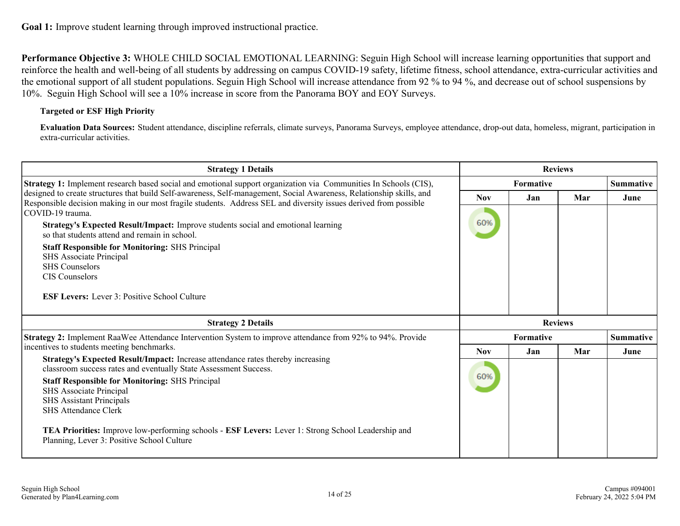**Performance Objective 3:** WHOLE CHILD SOCIAL EMOTIONAL LEARNING: Seguin High School will increase learning opportunities that support and reinforce the health and well-being of all students by addressing on campus COVID-19 safety, lifetime fitness, school attendance, extra-curricular activities and the emotional support of all student populations. Seguin High School will increase attendance from 92 % to 94 %, and decrease out of school suspensions by 10%. Seguin High School will see a 10% increase in score from the Panorama BOY and EOY Surveys.

#### **Targeted or ESF High Priority**

**Evaluation Data Sources:** Student attendance, discipline referrals, climate surveys, Panorama Surveys, employee attendance, drop-out data, homeless, migrant, participation in extra-curricular activities.

| <b>Strategy 1 Details</b>                                                                                                                                                                                                                | <b>Reviews</b> |                  |     |                  |
|------------------------------------------------------------------------------------------------------------------------------------------------------------------------------------------------------------------------------------------|----------------|------------------|-----|------------------|
| Strategy 1: Implement research based social and emotional support organization via Communities In Schools (CIS),                                                                                                                         |                | <b>Formative</b> |     | <b>Summative</b> |
| designed to create structures that build Self-awareness, Self-management, Social Awareness, Relationship skills, and<br>Responsible decision making in our most fragile students. Address SEL and diversity issues derived from possible | <b>Nov</b>     | Jan              | Mar | June             |
| COVID-19 trauma.                                                                                                                                                                                                                         |                |                  |     |                  |
| Strategy's Expected Result/Impact: Improve students social and emotional learning<br>so that students attend and remain in school.                                                                                                       | 60%            |                  |     |                  |
| <b>Staff Responsible for Monitoring: SHS Principal</b>                                                                                                                                                                                   |                |                  |     |                  |
| SHS Associate Principal<br><b>SHS Counselors</b>                                                                                                                                                                                         |                |                  |     |                  |
| <b>CIS</b> Counselors                                                                                                                                                                                                                    |                |                  |     |                  |
| <b>ESF Levers:</b> Lever 3: Positive School Culture                                                                                                                                                                                      |                |                  |     |                  |
|                                                                                                                                                                                                                                          |                |                  |     |                  |
| <b>Strategy 2 Details</b>                                                                                                                                                                                                                |                | <b>Reviews</b>   |     |                  |
| Strategy 2: Implement RaaWee Attendance Intervention System to improve attendance from 92% to 94%. Provide                                                                                                                               |                | Formative        |     | <b>Summative</b> |
| incentives to students meeting benchmarks.                                                                                                                                                                                               | <b>Nov</b>     | Jan              | Mar | June             |
| Strategy's Expected Result/Impact: Increase attendance rates thereby increasing                                                                                                                                                          |                |                  |     |                  |
| classroom success rates and eventually State Assessment Success.                                                                                                                                                                         | 60%            |                  |     |                  |
| <b>Staff Responsible for Monitoring: SHS Principal</b>                                                                                                                                                                                   |                |                  |     |                  |
| SHS Associate Principal                                                                                                                                                                                                                  |                |                  |     |                  |
| <b>SHS Assistant Principals</b><br><b>SHS Attendance Clerk</b>                                                                                                                                                                           |                |                  |     |                  |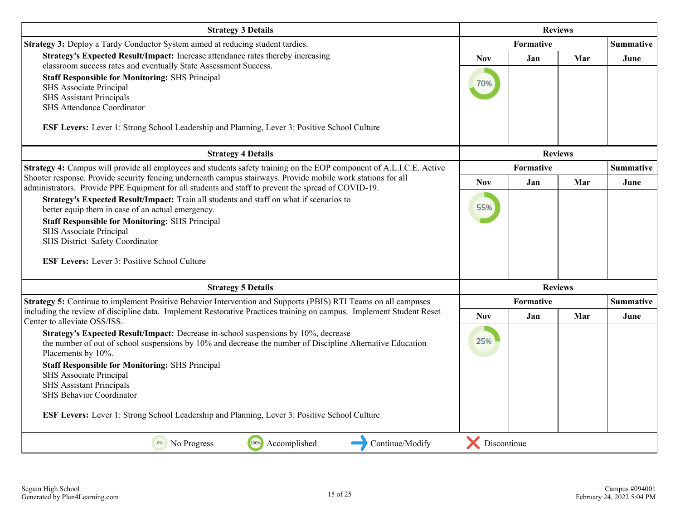| <b>Strategy 3 Details</b>                                                                                                                                                                                                                                                                                                                                                                                                                                                         | <b>Reviews</b>    |           |                |                  |
|-----------------------------------------------------------------------------------------------------------------------------------------------------------------------------------------------------------------------------------------------------------------------------------------------------------------------------------------------------------------------------------------------------------------------------------------------------------------------------------|-------------------|-----------|----------------|------------------|
| Strategy 3: Deploy a Tardy Conductor System aimed at reducing student tardies.                                                                                                                                                                                                                                                                                                                                                                                                    |                   | Formative |                | <b>Summative</b> |
| Strategy's Expected Result/Impact: Increase attendance rates thereby increasing<br>classroom success rates and eventually State Assessment Success.<br><b>Staff Responsible for Monitoring: SHS Principal</b><br>SHS Associate Principal<br><b>SHS Assistant Principals</b><br><b>SHS Attendance Coordinator</b>                                                                                                                                                                  | <b>Nov</b><br>70% | Jan       | Mar            | June             |
| ESF Levers: Lever 1: Strong School Leadership and Planning, Lever 3: Positive School Culture                                                                                                                                                                                                                                                                                                                                                                                      |                   |           |                |                  |
| <b>Strategy 4 Details</b>                                                                                                                                                                                                                                                                                                                                                                                                                                                         |                   |           | <b>Reviews</b> |                  |
| Strategy 4: Campus will provide all employees and students safety training on the EOP component of A.L.I.C.E. Active<br>Shooter response. Provide security fencing underneath campus stairways. Provide mobile work stations for all                                                                                                                                                                                                                                              |                   | Formative |                | <b>Summative</b> |
| administrators. Provide PPE Equipment for all students and staff to prevent the spread of COVID-19.                                                                                                                                                                                                                                                                                                                                                                               | <b>Nov</b>        | Jan       | Mar            | June             |
| Strategy's Expected Result/Impact: Train all students and staff on what if scenarios to<br>better equip them in case of an actual emergency.<br><b>Staff Responsible for Monitoring: SHS Principal</b><br><b>SHS Associate Principal</b><br>SHS District Safety Coordinator<br><b>ESF Levers:</b> Lever 3: Positive School Culture                                                                                                                                                | 55%               |           |                |                  |
| <b>Strategy 5 Details</b>                                                                                                                                                                                                                                                                                                                                                                                                                                                         |                   |           | <b>Reviews</b> |                  |
| Strategy 5: Continue to implement Positive Behavior Intervention and Supports (PBIS) RTI Teams on all campuses                                                                                                                                                                                                                                                                                                                                                                    |                   | Formative |                | <b>Summative</b> |
| including the review of discipline data. Implement Restorative Practices training on campus. Implement Student Reset<br>Center to alleviate OSS/ISS.                                                                                                                                                                                                                                                                                                                              | <b>Nov</b>        | Jan       | Mar            | June             |
| Strategy's Expected Result/Impact: Decrease in-school suspensions by 10%, decrease<br>the number of out of school suspensions by 10% and decrease the number of Discipline Alternative Education<br>Placements by 10%.<br><b>Staff Responsible for Monitoring: SHS Principal</b><br>SHS Associate Principal<br><b>SHS Assistant Principals</b><br><b>SHS Behavior Coordinator</b><br>ESF Levers: Lever 1: Strong School Leadership and Planning, Lever 3: Positive School Culture | 25%               |           |                |                  |
| 100%<br>Accomplished<br>Continue/Modify<br>0%<br>No Progress                                                                                                                                                                                                                                                                                                                                                                                                                      | Discontinue       |           |                |                  |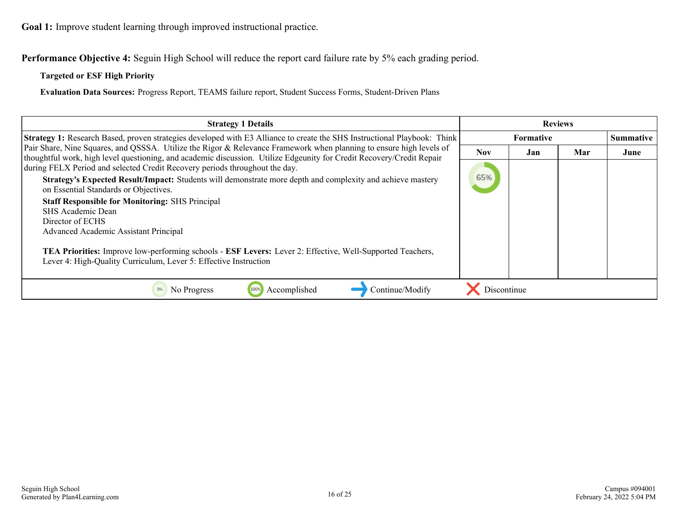**Goal 1:** Improve student learning through improved instructional practice.

**Performance Objective 4:** Seguin High School will reduce the report card failure rate by 5% each grading period.

#### **Targeted or ESF High Priority**

**Evaluation Data Sources:** Progress Report, TEAMS failure report, Student Success Forms, Student-Driven Plans

| <b>Strategy 1 Details</b>                                                                                                                                                                                                                    | <b>Reviews</b>   |     |     |                  |
|----------------------------------------------------------------------------------------------------------------------------------------------------------------------------------------------------------------------------------------------|------------------|-----|-----|------------------|
| <b>Strategy 1:</b> Research Based, proven strategies developed with E3 Alliance to create the SHS Instructional Playbook: Think                                                                                                              | <b>Formative</b> |     |     | <b>Summative</b> |
| Pair Share, Nine Squares, and QSSSA. Utilize the Rigor & Relevance Framework when planning to ensure high levels of<br>thoughtful work, high level questioning, and academic discussion. Utilize Edgeunity for Credit Recovery/Credit Repair | <b>Nov</b>       | Jan | Mar | June             |
| during FELX Period and selected Credit Recovery periods throughout the day.                                                                                                                                                                  |                  |     |     |                  |
| Strategy's Expected Result/Impact: Students will demonstrate more depth and complexity and achieve mastery<br>on Essential Standards or Objectives.                                                                                          | 65%              |     |     |                  |
| <b>Staff Responsible for Monitoring: SHS Principal</b>                                                                                                                                                                                       |                  |     |     |                  |
| SHS Academic Dean<br>Director of ECHS                                                                                                                                                                                                        |                  |     |     |                  |
| <b>Advanced Academic Assistant Principal</b>                                                                                                                                                                                                 |                  |     |     |                  |
| <b>TEA Priorities:</b> Improve low-performing schools - <b>ESF Levers:</b> Lever 2: Effective, Well-Supported Teachers,<br>Lever 4: High-Quality Curriculum, Lever 5: Effective Instruction                                                  |                  |     |     |                  |
| Accomplished<br>Continue/Modify<br>No Progress<br>100%                                                                                                                                                                                       | Discontinue      |     |     |                  |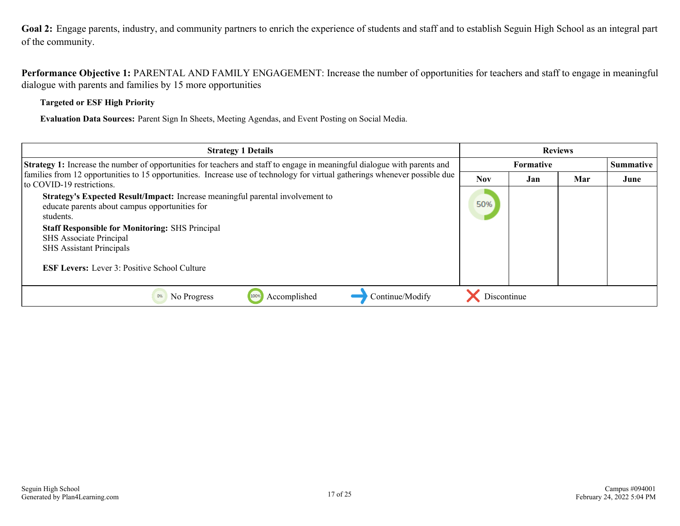<span id="page-16-0"></span>**Goal 2:** Engage parents, industry, and community partners to enrich the experience of students and staff and to establish Seguin High School as an integral part of the community.

**Performance Objective 1:** PARENTAL AND FAMILY ENGAGEMENT: Increase the number of opportunities for teachers and staff to engage in meaningful dialogue with parents and families by 15 more opportunities

**Targeted or ESF High Priority**

**Evaluation Data Sources:** Parent Sign In Sheets, Meeting Agendas, and Event Posting on Social Media.

| <b>Strategy 1 Details</b>                                                                                                                                                                                                                                                                                                    | <b>Reviews</b> |           |     |                  |
|------------------------------------------------------------------------------------------------------------------------------------------------------------------------------------------------------------------------------------------------------------------------------------------------------------------------------|----------------|-----------|-----|------------------|
| <b>Strategy 1:</b> Increase the number of opportunities for teachers and staff to engage in meaningful dialogue with parents and                                                                                                                                                                                             |                | Formative |     | <b>Summative</b> |
| families from 12 opportunities to 15 opportunities. Increase use of technology for virtual gatherings whenever possible due<br>to COVID-19 restrictions.                                                                                                                                                                     | <b>Nov</b>     | Jan       | Mar | June             |
| Strategy's Expected Result/Impact: Increase meaningful parental involvement to<br>educate parents about campus opportunities for<br>students.<br><b>Staff Responsible for Monitoring: SHS Principal</b><br>SHS Associate Principal<br><b>SHS Assistant Principals</b><br><b>ESF Levers:</b> Lever 3: Positive School Culture | 50%            |           |     |                  |
| Continue/Modify<br>Accomplished<br>No Progress<br>0%                                                                                                                                                                                                                                                                         | Discontinue    |           |     |                  |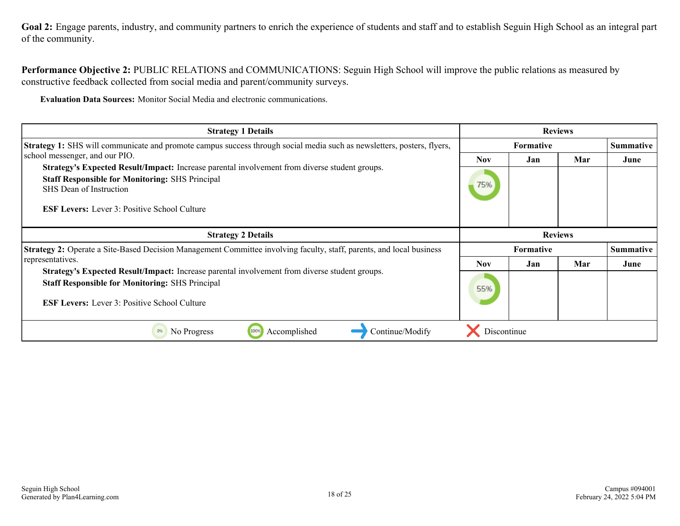Goal 2: Engage parents, industry, and community partners to enrich the experience of students and staff and to establish Seguin High School as an integral part of the community.

**Performance Objective 2:** PUBLIC RELATIONS and COMMUNICATIONS: Seguin High School will improve the public relations as measured by constructive feedback collected from social media and parent/community surveys.

**Evaluation Data Sources:** Monitor Social Media and electronic communications.

| <b>Strategy 1 Details</b>                                                                                                                                                                                                                        | <b>Reviews</b> |                                    |     |                  |
|--------------------------------------------------------------------------------------------------------------------------------------------------------------------------------------------------------------------------------------------------|----------------|------------------------------------|-----|------------------|
| <b>Strategy 1:</b> SHS will communicate and promote campus success through social media such as newsletters, posters, flyers,                                                                                                                    |                | <b>Formative</b>                   |     | <b>Summative</b> |
| school messenger, and our PIO.                                                                                                                                                                                                                   | <b>Nov</b>     | Jan                                | Mar | June             |
| Strategy's Expected Result/Impact: Increase parental involvement from diverse student groups.<br><b>Staff Responsible for Monitoring: SHS Principal</b><br><b>SHS</b> Dean of Instruction<br><b>ESF Levers:</b> Lever 3: Positive School Culture | 75%            |                                    |     |                  |
| <b>Strategy 2 Details</b><br><b>Strategy 2:</b> Operate a Site-Based Decision Management Committee involving faculty, staff, parents, and local business                                                                                         |                | <b>Reviews</b><br><b>Formative</b> |     | <b>Summative</b> |
| representatives.                                                                                                                                                                                                                                 | <b>Nov</b>     |                                    |     |                  |
| Strategy's Expected Result/Impact: Increase parental involvement from diverse student groups.                                                                                                                                                    |                | Jan                                | Mar | June             |
| <b>Staff Responsible for Monitoring: SHS Principal</b><br><b>ESF Levers:</b> Lever 3: Positive School Culture                                                                                                                                    | 55%            |                                    |     |                  |
| 100%<br>No Progress<br>Accomplished<br>Continue/Modify<br>0%                                                                                                                                                                                     | Discontinue    |                                    |     |                  |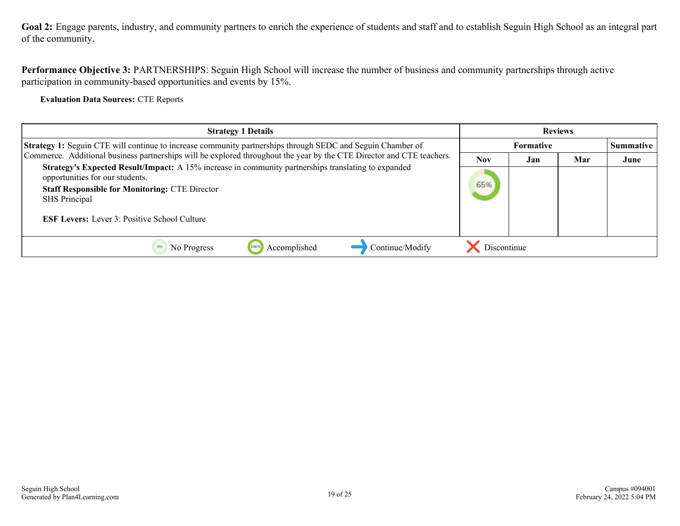**Goal 2:** Engage parents, industry, and community partners to enrich the experience of students and staff and to establish Seguin High School as an integral part of the community.

**Performance Objective 3:** PARTNERSHIPS: Seguin High School will increase the number of business and community partnerships through active participation in community-based opportunities and events by 15%.

**Evaluation Data Sources:** CTE Reports

| <b>Strategy 1 Details</b>                                                                                                                                                                                                                                                      | <b>Reviews</b> |           |     |                  |
|--------------------------------------------------------------------------------------------------------------------------------------------------------------------------------------------------------------------------------------------------------------------------------|----------------|-----------|-----|------------------|
| <b>Strategy 1:</b> Seguin CTE will continue to increase community partnerships through SEDC and Seguin Chamber of                                                                                                                                                              |                | Formative |     | <b>Summative</b> |
| Commerce. Additional business partnerships will be explored throughout the year by the CTE Director and CTE teachers.                                                                                                                                                          | <b>Nov</b>     | Jan       | Mar | June             |
| Strategy's Expected Result/Impact: A 15% increase in community partnerships translating to expanded<br>opportunities for our students.<br><b>Staff Responsible for Monitoring: CTE Director</b><br><b>SHS</b> Principal<br><b>ESF Levers:</b> Lever 3: Positive School Culture | 65%            |           |     |                  |
| Accomplished<br>Continue/Modify<br>No Progress                                                                                                                                                                                                                                 | Discontinue    |           |     |                  |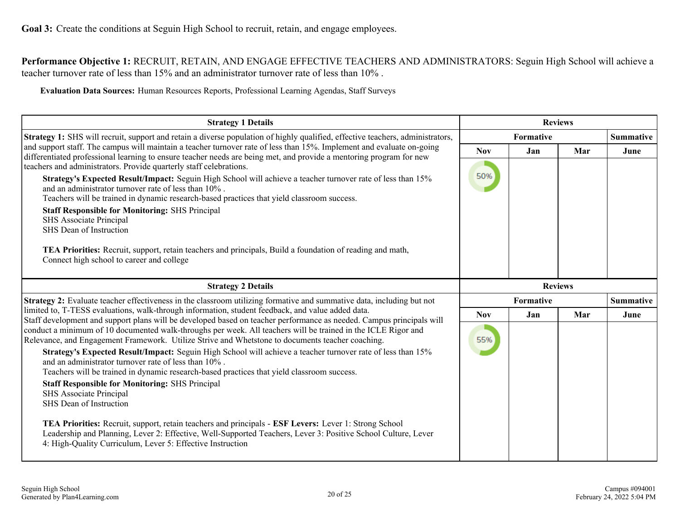<span id="page-19-0"></span>**Performance Objective 1:** RECRUIT, RETAIN, AND ENGAGE EFFECTIVE TEACHERS AND ADMINISTRATORS: Seguin High School will achieve a teacher turnover rate of less than 15% and an administrator turnover rate of less than 10% .

**Evaluation Data Sources:** Human Resources Reports, Professional Learning Agendas, Staff Surveys

| <b>Strategy 1 Details</b>                                                                                                                                                                                                                                                                                                                 |            |           | <b>Reviews</b>   |                  |  |  |
|-------------------------------------------------------------------------------------------------------------------------------------------------------------------------------------------------------------------------------------------------------------------------------------------------------------------------------------------|------------|-----------|------------------|------------------|--|--|
| Strategy 1: SHS will recruit, support and retain a diverse population of highly qualified, effective teachers, administrators,                                                                                                                                                                                                            | Formative  |           |                  | <b>Summative</b> |  |  |
| and support staff. The campus will maintain a teacher turnover rate of less than 15%. Implement and evaluate on-going<br>differentiated professional learning to ensure teacher needs are being met, and provide a mentoring program for new                                                                                              | <b>Nov</b> | Jan       | Mar              | June             |  |  |
| teachers and administrators. Provide quarterly staff celebrations.                                                                                                                                                                                                                                                                        |            |           |                  |                  |  |  |
| Strategy's Expected Result/Impact: Seguin High School will achieve a teacher turnover rate of less than 15%<br>and an administrator turnover rate of less than $10\%$ .                                                                                                                                                                   | 50%        |           |                  |                  |  |  |
| Teachers will be trained in dynamic research-based practices that yield classroom success.                                                                                                                                                                                                                                                |            |           |                  |                  |  |  |
| <b>Staff Responsible for Monitoring: SHS Principal</b><br>SHS Associate Principal                                                                                                                                                                                                                                                         |            |           |                  |                  |  |  |
| SHS Dean of Instruction                                                                                                                                                                                                                                                                                                                   |            |           |                  |                  |  |  |
| <b>TEA Priorities:</b> Recruit, support, retain teachers and principals, Build a foundation of reading and math,<br>Connect high school to career and college                                                                                                                                                                             |            |           |                  |                  |  |  |
| <b>Strategy 2 Details</b>                                                                                                                                                                                                                                                                                                                 |            |           | <b>Reviews</b>   |                  |  |  |
| Strategy 2: Evaluate teacher effectiveness in the classroom utilizing formative and summative data, including but not                                                                                                                                                                                                                     |            | Formative | <b>Summative</b> |                  |  |  |
| limited to, T-TESS evaluations, walk-through information, student feedback, and value added data.                                                                                                                                                                                                                                         | <b>Nov</b> | Jan       | Mar              | June             |  |  |
| Staff development and support plans will be developed based on teacher performance as needed. Campus principals will<br>conduct a minimum of 10 documented walk-throughs per week. All teachers will be trained in the ICLE Rigor and<br>Relevance, and Engagement Framework. Utilize Strive and Whetstone to documents teacher coaching. | 55%        |           |                  |                  |  |  |
| Strategy's Expected Result/Impact: Seguin High School will achieve a teacher turnover rate of less than 15%<br>and an administrator turnover rate of less than $10\%$ .                                                                                                                                                                   |            |           |                  |                  |  |  |
| Teachers will be trained in dynamic research-based practices that yield classroom success.<br><b>Staff Responsible for Monitoring: SHS Principal</b>                                                                                                                                                                                      |            |           |                  |                  |  |  |
| <b>SHS Associate Principal</b>                                                                                                                                                                                                                                                                                                            |            |           |                  |                  |  |  |
| SHS Dean of Instruction                                                                                                                                                                                                                                                                                                                   |            |           |                  |                  |  |  |
| TEA Priorities: Recruit, support, retain teachers and principals - ESF Levers: Lever 1: Strong School<br>Leadership and Planning, Lever 2: Effective, Well-Supported Teachers, Lever 3: Positive School Culture, Lever<br>4: High-Quality Curriculum, Lever 5: Effective Instruction                                                      |            |           |                  |                  |  |  |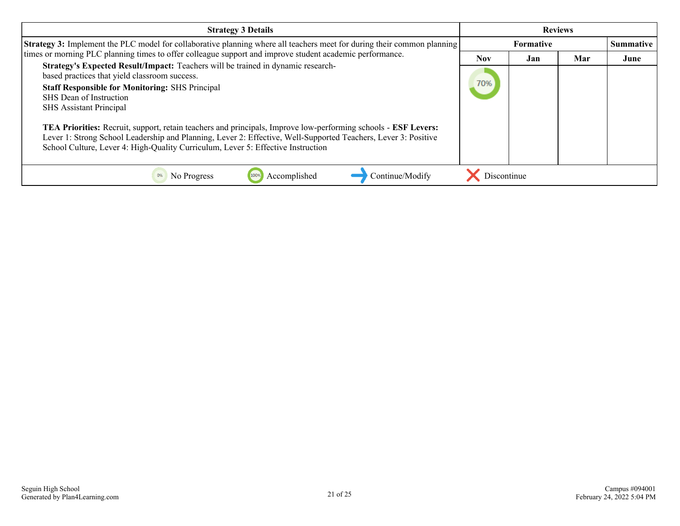| <b>Strategy 3 Details</b>                                                                                                                                                                                                                                                                                            | <b>Reviews</b>   |     |     |           |
|----------------------------------------------------------------------------------------------------------------------------------------------------------------------------------------------------------------------------------------------------------------------------------------------------------------------|------------------|-----|-----|-----------|
| <b>Strategy 3:</b> Implement the PLC model for collaborative planning where all teachers meet for during their common planning                                                                                                                                                                                       | <b>Formative</b> |     |     | Summative |
| times or morning PLC planning times to offer colleague support and improve student academic performance.                                                                                                                                                                                                             | <b>Nov</b>       | Jan | Mar | June      |
| Strategy's Expected Result/Impact: Teachers will be trained in dynamic research-<br>based practices that yield classroom success.<br><b>Staff Responsible for Monitoring: SHS Principal</b><br>SHS Dean of Instruction<br><b>SHS</b> Assistant Principal                                                             | 70%              |     |     |           |
| TEA Priorities: Recruit, support, retain teachers and principals, Improve low-performing schools - ESF Levers:<br>Lever 1: Strong School Leadership and Planning, Lever 2: Effective, Well-Supported Teachers, Lever 3: Positive<br>School Culture, Lever 4: High-Quality Curriculum, Lever 5: Effective Instruction |                  |     |     |           |
| Continue/Modify<br>0%<br>No Progress<br>Accomplished                                                                                                                                                                                                                                                                 | Discontinue      |     |     |           |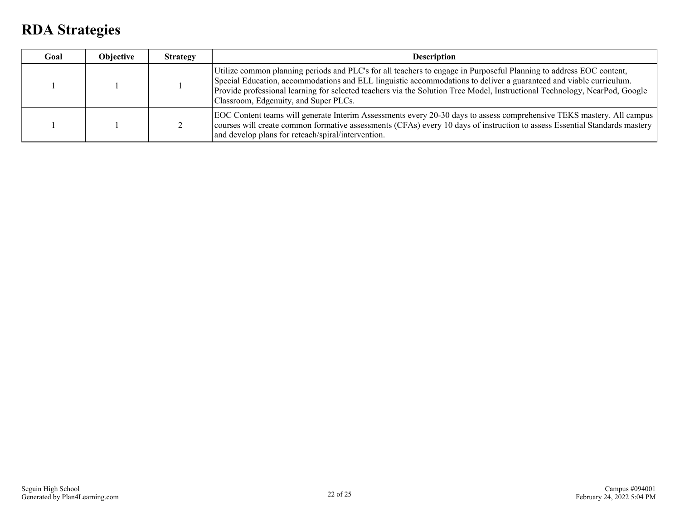### <span id="page-21-0"></span>**RDA Strategies**

| Goal | Objective | <b>Strategy</b> | <b>Description</b>                                                                                                                                                                                                                                                                                                                                                                                               |  |
|------|-----------|-----------------|------------------------------------------------------------------------------------------------------------------------------------------------------------------------------------------------------------------------------------------------------------------------------------------------------------------------------------------------------------------------------------------------------------------|--|
|      |           |                 | Utilize common planning periods and PLC's for all teachers to engage in Purposeful Planning to address EOC content,<br>Special Education, accommodations and ELL linguistic accommodations to deliver a guaranteed and viable curriculum.<br>Provide professional learning for selected teachers via the Solution Tree Model, Instructional Technology, NearPod, Google<br>Classroom, Edgenuity, and Super PLCs. |  |
|      |           |                 | EOC Content teams will generate Interim Assessments every 20-30 days to assess comprehensive TEKS mastery. All campus<br>courses will create common formative assessments (CFAs) every 10 days of instruction to assess Essential Standards mastery<br>and develop plans for reteach/spiral/intervention.                                                                                                        |  |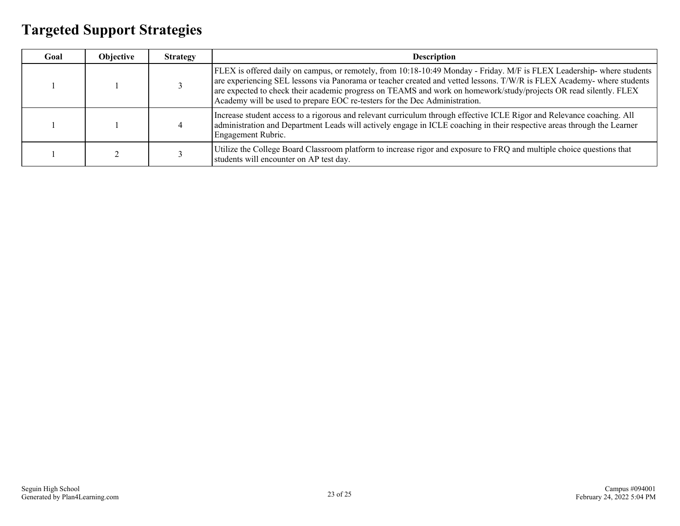### <span id="page-22-0"></span>**Targeted Support Strategies**

| Goal | Objective | <b>Strategy</b> | <b>Description</b>                                                                                                                                                                                                                                                                                                                                                                                                                                 |
|------|-----------|-----------------|----------------------------------------------------------------------------------------------------------------------------------------------------------------------------------------------------------------------------------------------------------------------------------------------------------------------------------------------------------------------------------------------------------------------------------------------------|
|      |           |                 | FLEX is offered daily on campus, or remotely, from 10:18-10:49 Monday - Friday. M/F is FLEX Leadership-where students<br>are experiencing SEL lessons via Panorama or teacher created and vetted lessons. T/W/R is FLEX Academy- where students<br>are expected to check their academic progress on TEAMS and work on homework/study/projects OR read silently. FLEX<br>Academy will be used to prepare EOC re-testers for the Dec Administration. |
|      |           |                 | Increase student access to a rigorous and relevant curriculum through effective ICLE Rigor and Relevance coaching. All<br>administration and Department Leads will actively engage in ICLE coaching in their respective areas through the Learner<br>Engagement Rubric.                                                                                                                                                                            |
|      |           |                 | Utilize the College Board Classroom platform to increase rigor and exposure to FRQ and multiple choice questions that<br>students will encounter on AP test day.                                                                                                                                                                                                                                                                                   |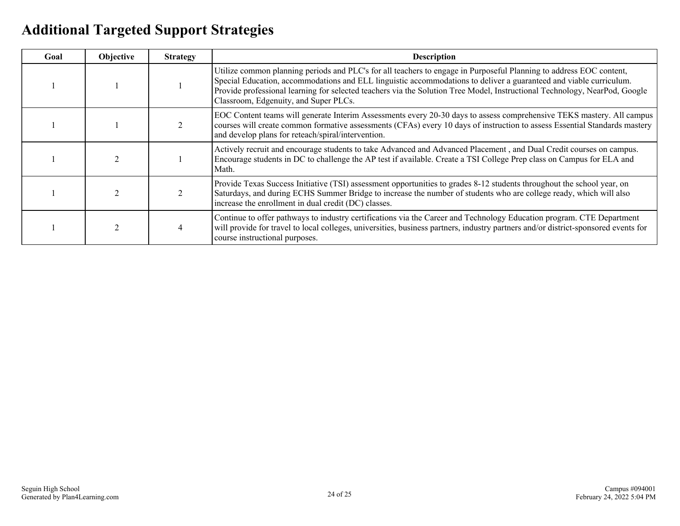### <span id="page-23-0"></span>**Additional Targeted Support Strategies**

| Goal | <b>Objective</b> | <b>Strategy</b> | <b>Description</b>                                                                                                                                                                                                                                                                                                                                                                                               |  |
|------|------------------|-----------------|------------------------------------------------------------------------------------------------------------------------------------------------------------------------------------------------------------------------------------------------------------------------------------------------------------------------------------------------------------------------------------------------------------------|--|
|      |                  |                 | Utilize common planning periods and PLC's for all teachers to engage in Purposeful Planning to address EOC content,<br>Special Education, accommodations and ELL linguistic accommodations to deliver a guaranteed and viable curriculum.<br>Provide professional learning for selected teachers via the Solution Tree Model, Instructional Technology, NearPod, Google<br>Classroom, Edgenuity, and Super PLCs. |  |
|      |                  |                 | EOC Content teams will generate Interim Assessments every 20-30 days to assess comprehensive TEKS mastery. All campus<br>courses will create common formative assessments (CFAs) every 10 days of instruction to assess Essential Standards mastery<br>and develop plans for reteach/spiral/intervention.                                                                                                        |  |
|      |                  |                 | Actively recruit and encourage students to take Advanced and Advanced Placement, and Dual Credit courses on campus.<br>Encourage students in DC to challenge the AP test if available. Create a TSI College Prep class on Campus for ELA and<br>Math.                                                                                                                                                            |  |
|      |                  |                 | Provide Texas Success Initiative (TSI) assessment opportunities to grades 8-12 students throughout the school year, on<br>Saturdays, and during ECHS Summer Bridge to increase the number of students who are college ready, which will also<br>increase the enrollment in dual credit (DC) classes.                                                                                                             |  |
|      |                  |                 | Continue to offer pathways to industry certifications via the Career and Technology Education program. CTE Department<br>will provide for travel to local colleges, universities, business partners, industry partners and/or district-sponsored events for<br>course instructional purposes.                                                                                                                    |  |